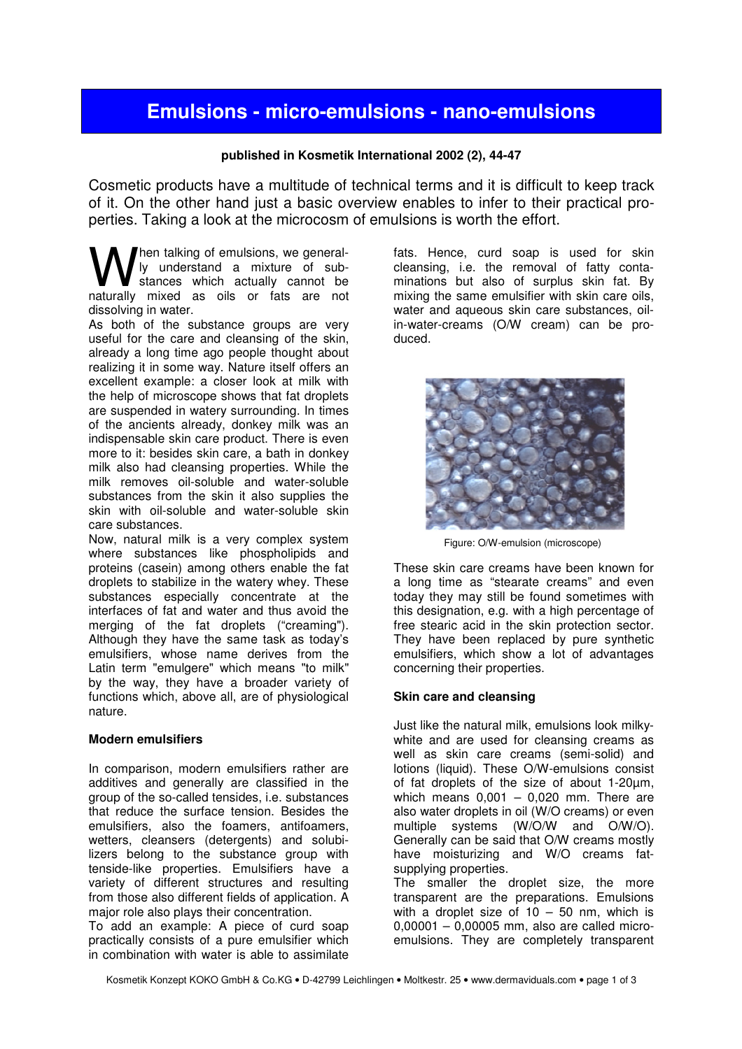# **Emulsions - micro-emulsions - nano-emulsions**

## **published in Kosmetik International 2002 (2), 44-47**

Cosmetic products have a multitude of technical terms and it is difficult to keep track of it. On the other hand just a basic overview enables to infer to their practical properties. Taking a look at the microcosm of emulsions is worth the effort.

hen talking of emulsions, we generally understand a mixture of substances which actually cannot be **W** hen talking of emulsions, we general-<br>I ly understand a mixture of sub-<br>naturally mixed as oils or fats are not dissolving in water.

As both of the substance groups are very useful for the care and cleansing of the skin, already a long time ago people thought about realizing it in some way. Nature itself offers an excellent example: a closer look at milk with the help of microscope shows that fat droplets are suspended in watery surrounding. In times of the ancients already, donkey milk was an indispensable skin care product. There is even more to it: besides skin care, a bath in donkey milk also had cleansing properties. While the milk removes oil-soluble and water-soluble substances from the skin it also supplies the skin with oil-soluble and water-soluble skin care substances.

Now, natural milk is a very complex system where substances like phospholipids and proteins (casein) among others enable the fat droplets to stabilize in the watery whey. These substances especially concentrate at the interfaces of fat and water and thus avoid the merging of the fat droplets ("creaming"). Although they have the same task as today's emulsifiers, whose name derives from the Latin term "emulgere" which means "to milk" by the way, they have a broader variety of functions which, above all, are of physiological nature.

## **Modern emulsifiers**

In comparison, modern emulsifiers rather are additives and generally are classified in the group of the so-called tensides, i.e. substances that reduce the surface tension. Besides the emulsifiers, also the foamers, antifoamers, wetters, cleansers (detergents) and solubilizers belong to the substance group with tenside-like properties. Emulsifiers have a variety of different structures and resulting from those also different fields of application. A major role also plays their concentration.

To add an example: A piece of curd soap practically consists of a pure emulsifier which in combination with water is able to assimilate

fats. Hence, curd soap is used for skin cleansing, i.e. the removal of fatty contaminations but also of surplus skin fat. By mixing the same emulsifier with skin care oils, water and aqueous skin care substances, oilin-water-creams (O/W cream) can be produced.



Figure: O/W-emulsion (microscope)

These skin care creams have been known for a long time as "stearate creams" and even today they may still be found sometimes with this designation, e.g. with a high percentage of free stearic acid in the skin protection sector. They have been replaced by pure synthetic emulsifiers, which show a lot of advantages concerning their properties.

## **Skin care and cleansing**

Just like the natural milk, emulsions look milkywhite and are used for cleansing creams as well as skin care creams (semi-solid) and lotions (liquid). These O/W-emulsions consist of fat droplets of the size of about 1-20µm, which means  $0,001 - 0,020$  mm. There are also water droplets in oil (W/O creams) or even multiple systems (W/O/W and O/W/O). Generally can be said that O/W creams mostly have moisturizing and W/O creams fatsupplying properties.

The smaller the droplet size, the more transparent are the preparations. Emulsions with a droplet size of  $10 - 50$  nm, which is 0,00001 – 0,00005 mm, also are called microemulsions. They are completely transparent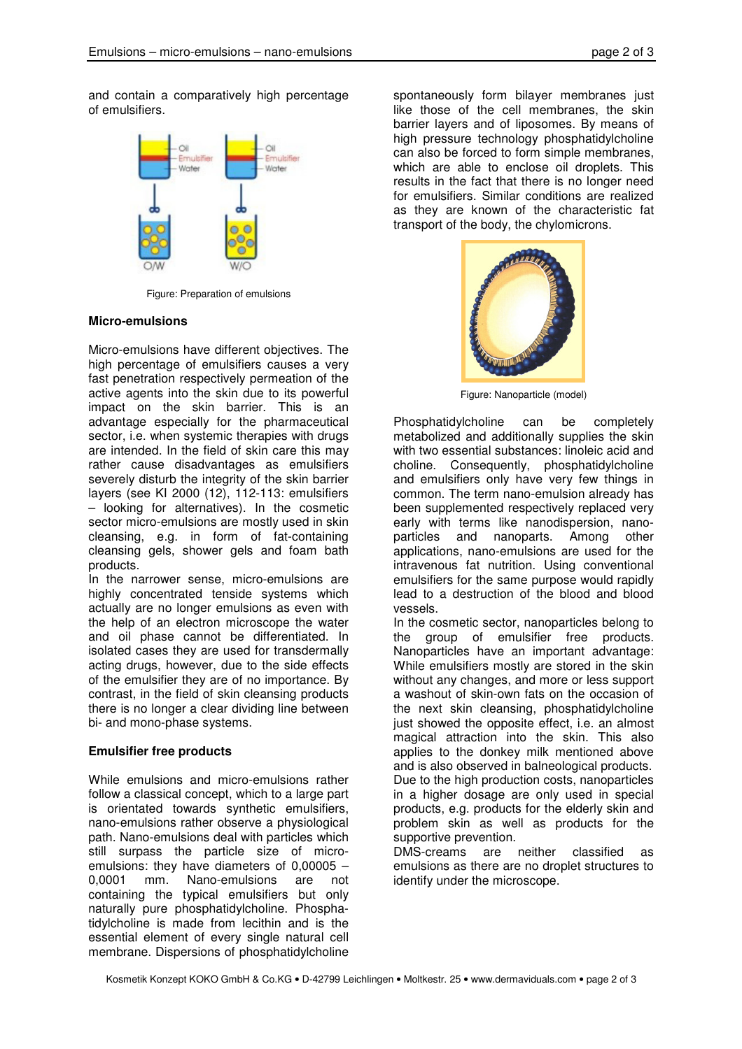and contain a comparatively high percentage of emulsifiers.



Figure: Preparation of emulsions

#### **Micro-emulsions**

Micro-emulsions have different objectives. The high percentage of emulsifiers causes a very fast penetration respectively permeation of the active agents into the skin due to its powerful impact on the skin barrier. This is an advantage especially for the pharmaceutical sector, i.e. when systemic therapies with drugs are intended. In the field of skin care this may rather cause disadvantages as emulsifiers severely disturb the integrity of the skin barrier layers (see KI 2000 (12), 112-113: emulsifiers – looking for alternatives). In the cosmetic sector micro-emulsions are mostly used in skin cleansing, e.g. in form of fat-containing cleansing gels, shower gels and foam bath products.

In the narrower sense, micro-emulsions are highly concentrated tenside systems which actually are no longer emulsions as even with the help of an electron microscope the water and oil phase cannot be differentiated. In isolated cases they are used for transdermally acting drugs, however, due to the side effects of the emulsifier they are of no importance. By contrast, in the field of skin cleansing products there is no longer a clear dividing line between bi- and mono-phase systems.

#### **Emulsifier free products**

While emulsions and micro-emulsions rather follow a classical concept, which to a large part is orientated towards synthetic emulsifiers, nano-emulsions rather observe a physiological path. Nano-emulsions deal with particles which still surpass the particle size of microemulsions: they have diameters of 0,00005 – 0,0001 mm. Nano-emulsions are not containing the typical emulsifiers but only naturally pure phosphatidylcholine. Phosphatidylcholine is made from lecithin and is the essential element of every single natural cell membrane. Dispersions of phosphatidylcholine

spontaneously form bilayer membranes iust like those of the cell membranes, the skin barrier layers and of liposomes. By means of high pressure technology phosphatidylcholine can also be forced to form simple membranes, which are able to enclose oil droplets. This results in the fact that there is no longer need for emulsifiers. Similar conditions are realized as they are known of the characteristic fat transport of the body, the chylomicrons.



Figure: Nanoparticle (model)

Phosphatidylcholine can be completely metabolized and additionally supplies the skin with two essential substances: linoleic acid and choline. Consequently, phosphatidylcholine and emulsifiers only have very few things in common. The term nano-emulsion already has been supplemented respectively replaced very early with terms like nanodispersion, nanoparticles and nanoparts. Among other applications, nano-emulsions are used for the intravenous fat nutrition. Using conventional emulsifiers for the same purpose would rapidly lead to a destruction of the blood and blood vessels.

In the cosmetic sector, nanoparticles belong to the group of emulsifier free products. Nanoparticles have an important advantage: While emulsifiers mostly are stored in the skin without any changes, and more or less support a washout of skin-own fats on the occasion of the next skin cleansing, phosphatidylcholine just showed the opposite effect, i.e. an almost magical attraction into the skin. This also applies to the donkey milk mentioned above and is also observed in balneological products. Due to the high production costs, nanoparticles in a higher dosage are only used in special products, e.g. products for the elderly skin and problem skin as well as products for the supportive prevention.

DMS-creams are neither classified as emulsions as there are no droplet structures to identify under the microscope.